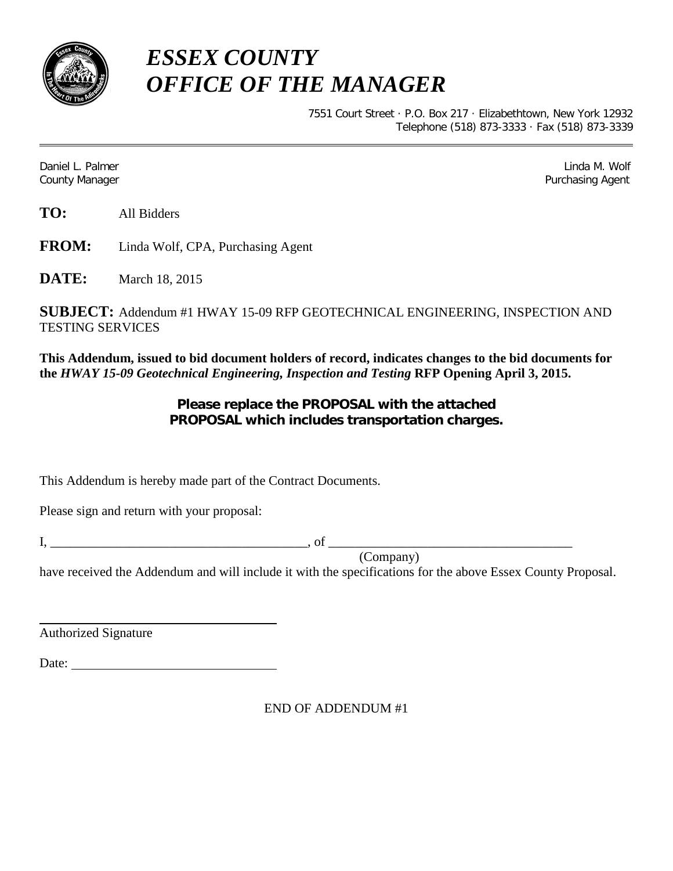

## *ESSEX COUNTY OFFICE OF THE MANAGER*

7551 Court Street · P.O. Box 217 · Elizabethtown, New York 12932 Telephone (518) 873-3333 · Fax (518) 873-3339

Daniel L. Palmer Linda M. Wolf County Manager **Purchasing Agent** County Manager **Purchasing Agent** County Manager

**TO:** All Bidders

**FROM:** Linda Wolf, CPA, Purchasing Agent

**DATE:** March 18, 2015

**SUBJECT:** Addendum #1 HWAY 15-09 RFP GEOTECHNICAL ENGINEERING, INSPECTION AND TESTING SERVICES

**This Addendum, issued to bid document holders of record, indicates changes to the bid documents for the** *HWAY 15-09 Geotechnical Engineering, Inspection and Testing* **RFP Opening April 3, 2015.**

## **Please replace the PROPOSAL with the attached PROPOSAL which includes transportation charges.**

This Addendum is hereby made part of the Contract Documents.

Please sign and return with your proposal:

I, \_\_\_\_\_\_\_\_\_\_\_\_\_\_\_\_\_\_\_\_\_\_\_\_\_\_\_\_\_\_\_\_\_\_\_\_\_\_\_, of \_\_\_\_\_\_\_\_\_\_\_\_\_\_\_\_\_\_\_\_\_\_\_\_\_\_\_\_\_\_\_\_\_\_\_\_\_

(Company)

have received the Addendum and will include it with the specifications for the above Essex County Proposal.

Authorized Signature

Date:

END OF ADDENDUM #1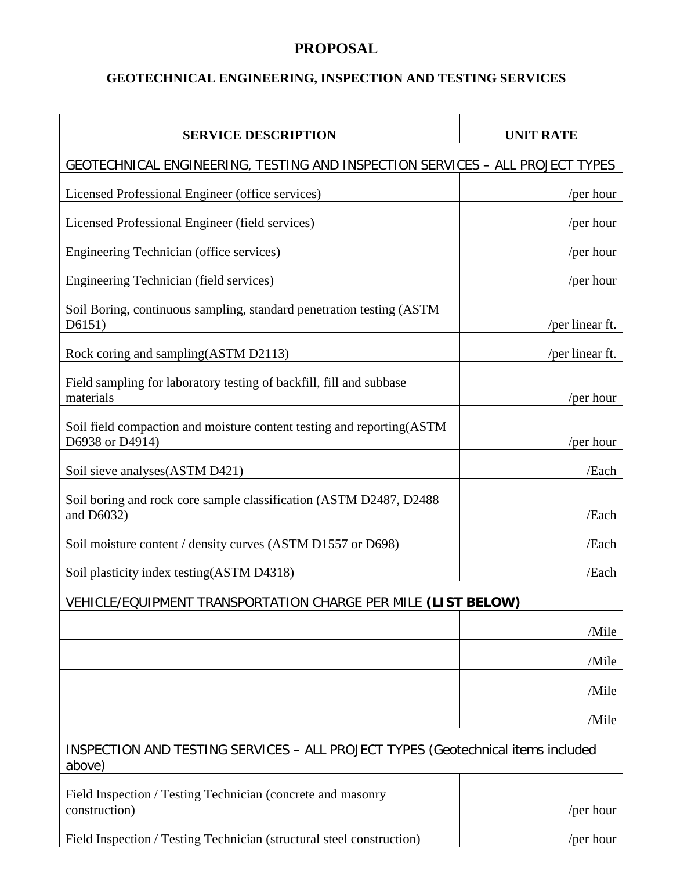## **PROPOSAL**

## **GEOTECHNICAL ENGINEERING, INSPECTION AND TESTING SERVICES**

| <b>SERVICE DESCRIPTION</b>                                                                 | <b>UNIT RATE</b> |
|--------------------------------------------------------------------------------------------|------------------|
| GEOTECHNICAL ENGINEERING, TESTING AND INSPECTION SERVICES - ALL PROJECT TYPES              |                  |
| Licensed Professional Engineer (office services)                                           | /per hour        |
| Licensed Professional Engineer (field services)                                            | /per hour        |
| Engineering Technician (office services)                                                   | /per hour        |
| Engineering Technician (field services)                                                    | /per hour        |
| Soil Boring, continuous sampling, standard penetration testing (ASTM<br>D6151)             | /per linear ft.  |
| Rock coring and sampling(ASTM D2113)                                                       | /per linear ft.  |
| Field sampling for laboratory testing of backfill, fill and subbase<br>materials           | /per hour        |
| Soil field compaction and moisture content testing and reporting (ASTM)<br>D6938 or D4914) | /per hour        |
| Soil sieve analyses (ASTM D421)                                                            | /Each            |
| Soil boring and rock core sample classification (ASTM D2487, D2488)<br>and D6032)          | /Each            |
| Soil moisture content / density curves (ASTM D1557 or D698)                                | /Each            |
| Soil plasticity index testing (ASTM D4318)                                                 | /Each            |
| VEHICLE/EQUIPMENT TRANSPORTATION CHARGE PER MILE (LIST BELOW)                              |                  |
|                                                                                            | /Mile            |
|                                                                                            | /Mile            |
|                                                                                            | /Mile            |
|                                                                                            | /Mile            |
| INSPECTION AND TESTING SERVICES - ALL PROJECT TYPES (Geotechnical items included<br>above) |                  |
| Field Inspection / Testing Technician (concrete and masonry<br>construction)               | /per hour        |
| Field Inspection / Testing Technician (structural steel construction)                      | /per hour        |